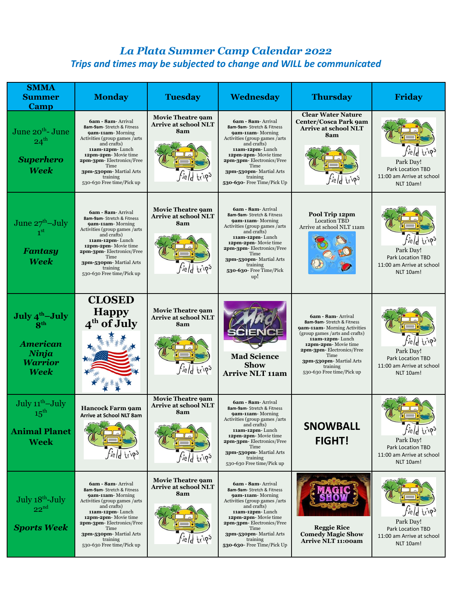## *La Plata Summer Camp Calendar 2022 Trips and times may be subjected to change and WILL be communicated*

| <b>SMMA</b><br><b>Summer</b><br>Camp                                                                | <b>Monday</b>                                                                                                                                                                                                                                                           | <b>Tuesday</b>                                                                       | <b>Wednesday</b>                                                                                                                                                                                                                                                                     | <b>Thursday</b>                                                                                                                                                                                                                                                      | <b>Friday</b>                                                                                         |
|-----------------------------------------------------------------------------------------------------|-------------------------------------------------------------------------------------------------------------------------------------------------------------------------------------------------------------------------------------------------------------------------|--------------------------------------------------------------------------------------|--------------------------------------------------------------------------------------------------------------------------------------------------------------------------------------------------------------------------------------------------------------------------------------|----------------------------------------------------------------------------------------------------------------------------------------------------------------------------------------------------------------------------------------------------------------------|-------------------------------------------------------------------------------------------------------|
| June 20 <sup>th</sup> - June<br>$24^{\text{th}}$<br><b>Superhero</b><br><b>Week</b>                 | 6am - 8am - Arrival<br>8am-9am- Stretch & Fitness<br>9am-11am-Morning<br>Activities (group games / arts<br>and crafts)<br>11am-12pm-Lunch<br>12pm-2pm-Movie time<br>2pm-3pm-Electronics/Free<br>Time<br>3pm-530pm-Martial Arts<br>training<br>530-630 Free time/Pick up | <b>Movie Theatre 9am</b><br><b>Arrive at school NLT</b><br>8am<br><i>Field</i> trips | 6am - 8am - Arrival<br>8am-9am- Stretch & Fitness<br>9am-11am-Morning<br>Activities (group games / arts<br>and crafts)<br>11am-12pm-Lunch<br>12pm-2pm-Movie time<br>2pm-3pm-Electronics/Free<br>Time<br>3pm-530pm-Martial Arts<br>training<br>530-630- Free Time/Pick Up             | <b>Clear Water Nature</b><br>Center/Cosca Park 9am<br><b>Arrive at school NLT</b><br>8am<br><i>field</i> trips                                                                                                                                                       | <i>Field</i> trips<br>Park Day!<br>Park Location TBD<br>11:00 am Arrive at school<br>NLT 10am!        |
| June $27^{\text{th}}$ -July<br><b>Fantasy</b><br>Week                                               | 6am - 8am - Arrival<br>8am-9am- Stretch & Fitness<br>9am-11am-Morning<br>Activities (group games / arts<br>and crafts)<br>11am-12pm-Lunch<br>12pm-2pm-Movie time<br>2pm-3pm-Electronics/Free<br>Time<br>3pm-530pm-Martial Arts<br>training<br>530-630 Free time/Pick up | <b>Movie Theatre 9am</b><br><b>Arrive at school NLT</b><br>8am<br><i>field</i> trips | 6am - 8am - Arrival<br>8am-9am- Stretch & Fitness<br><b>9am-11am-</b> Morning<br>Activities (group games / arts<br>and crafts)<br>11am-12pm-Lunch<br>12pm-2pm-Movie time<br>2pm-3pm-Electronics/Free<br>Time<br>3pm-530pm-Martial Arts<br>training<br>530-630- Free Time/Pick<br>up! | Pool Trip 12pm<br><b>Location TBD</b><br>Arrive at school NLT 11am                                                                                                                                                                                                   | <i>field</i> trips<br>Park Day!<br><b>Park Location TBD</b><br>11:00 am Arrive at school<br>NLT 10am! |
| July 4 <sup>th</sup> -July<br>R <sup>th</sup><br><b>American</b><br>Ninja<br><b>Warrior</b><br>Week | <b>CLOSED</b><br><b>Happy</b><br>4 <sup>th</sup> of July                                                                                                                                                                                                                | <b>Movie Theatre 9am</b><br><b>Arrive at school NLT</b><br>8am<br>d trips            | <b>Mad Science</b><br><b>Show</b><br><b>Arrive NLT 11am</b>                                                                                                                                                                                                                          | 6am - 8am - Arrival<br>8am-9am- Stretch & Fitness<br>9am-11am-Morning Activities<br>(group games / arts and crafts)<br>11am-12pm-Lunch<br>12pm-2pm-Movie time<br>2pm-3pm-Electronics/Free<br>Time<br>3pm-530pm-Martial Arts<br>training<br>530-630 Free time/Pick up | <i>Field</i> trips<br>Park Day!<br>Park Location TBD<br>11:00 am Arrive at school<br>NLT 10am!        |
| July 11 <sup>th</sup> -July<br>$15^{\rm th}$<br><b>Animal Planet</b><br><b>Week</b>                 | <b>Hancock Farm 9am</b><br>Arrive at School NLT 8am<br><i>Field</i> trips                                                                                                                                                                                               | <b>Movie Theatre 9am</b><br><b>Arrive at school NLT</b><br>8am<br><i>field</i> trips | 6am - 8am - Arrival<br>8am-9am- Stretch & Fitness<br>9am-11am-Morning<br>Activities (group games /arts<br>and crafts)<br>11am-12pm-Lunch<br>12pm-2pm-Movie time<br>2pm-3pm-Electronics/Free<br>Time<br>3pm-530pm-Martial Arts<br>training<br>530-630 Free time/Pick up               | <b>SNOWBALL</b><br><b>FIGHT!</b>                                                                                                                                                                                                                                     | <i>Field</i> trips<br>Park Day!<br>Park Location TBD<br>11:00 am Arrive at school<br>NLT 10am!        |
| July 18th-July<br>$22^{nd}$<br><b>Sports Week</b>                                                   | 6am - 8am - Arrival<br>8am-9am- Stretch & Fitness<br>9am-11am-Morning<br>Activities (group games /arts<br>and crafts)<br>11am-12pm-Lunch<br>12pm-2pm-Movie time<br>2pm-3pm-Electronics/Free<br>Time<br>3pm-530pm-Martial Arts<br>training<br>530-630 Free time/Pick up  | <b>Movie Theatre 9am</b><br><b>Arrive at school NLT</b><br>8am<br><i>field</i> trips | 6am - 8am - Arrival<br>8am-9am- Stretch & Fitness<br>9am-11am-Morning<br>Activities (group games / arts<br>and crafts)<br>11am-12pm-Lunch<br>12pm-2pm-Movie time<br>2pm-3pm-Electronics/Free<br>Time<br>3pm-530pm-Martial Arts<br>training<br>530-630- Free Time/Pick Up             | <b>Reggie Rice</b><br><b>Comedy Magic Show</b><br><b>Arrive NLT 11:00am</b>                                                                                                                                                                                          | $t_0$ ips<br>Park Day!<br>Park Location TBD<br>11:00 am Arrive at school<br>NLT 10am!                 |